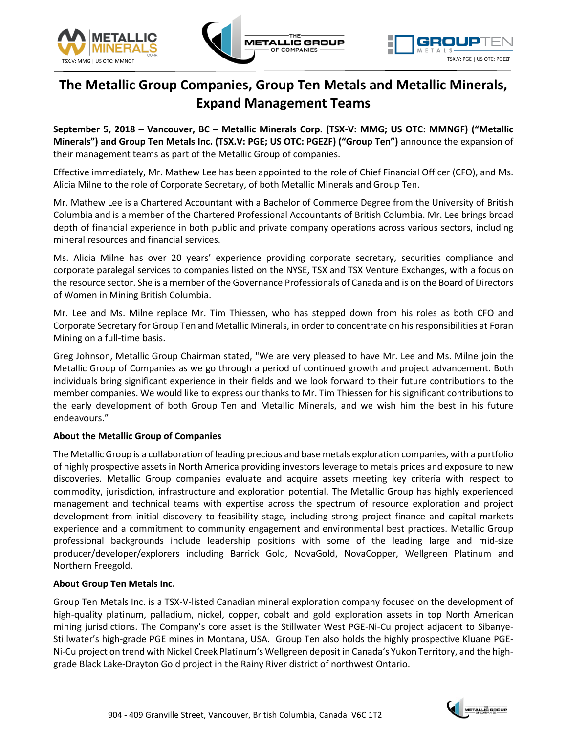





# **The Metallic Group Companies, Group Ten Metals and Metallic Minerals, Expand Management Teams**

**September 5, 2018 – Vancouver, BC – Metallic Minerals Corp. (TSX-V: MMG; US OTC: MMNGF) ("Metallic Minerals") and Group Ten Metals Inc. (TSX.V: PGE; US OTC: PGEZF) ("Group Ten")** announce the expansion of their management teams as part of the Metallic Group of companies.

Effective immediately, Mr. Mathew Lee has been appointed to the role of Chief Financial Officer (CFO), and Ms. Alicia Milne to the role of Corporate Secretary, of both Metallic Minerals and Group Ten.

Mr. Mathew Lee is a Chartered Accountant with a Bachelor of Commerce Degree from the University of British Columbia and is a member of the Chartered Professional Accountants of British Columbia. Mr. Lee brings broad depth of financial experience in both public and private company operations across various sectors, including mineral resources and financial services.

Ms. Alicia Milne has over 20 years' experience providing corporate secretary, securities compliance and corporate paralegal services to companies listed on the NYSE, TSX and TSX Venture Exchanges, with a focus on the resource sector. She is a member of the Governance Professionals of Canada and is on the Board of Directors of Women in Mining British Columbia.

Mr. Lee and Ms. Milne replace Mr. Tim Thiessen, who has stepped down from his roles as both CFO and Corporate Secretary for Group Ten and Metallic Minerals, in order to concentrate on hisresponsibilities at Foran Mining on a full-time basis.

Greg Johnson, Metallic Group Chairman stated, "We are very pleased to have Mr. Lee and Ms. Milne join the Metallic Group of Companies as we go through a period of continued growth and project advancement. Both individuals bring significant experience in their fields and we look forward to their future contributions to the member companies. We would like to express our thanks to Mr. Tim Thiessen for his significant contributions to the early development of both Group Ten and Metallic Minerals, and we wish him the best in his future endeavours."

## **About the Metallic Group of Companies**

The Metallic Group is a collaboration of leading precious and base metals exploration companies, with a portfolio of highly prospective assets in North America providing investors leverage to metals prices and exposure to new discoveries. Metallic Group companies evaluate and acquire assets meeting key criteria with respect to commodity, jurisdiction, infrastructure and exploration potential. The Metallic Group has highly experienced management and technical teams with expertise across the spectrum of resource exploration and project development from initial discovery to feasibility stage, including strong project finance and capital markets experience and a commitment to community engagement and environmental best practices. Metallic Group professional backgrounds include leadership positions with some of the leading large and mid-size producer/developer/explorers including Barrick Gold, NovaGold, NovaCopper, Wellgreen Platinum and Northern Freegold.

### **About Group Ten Metals Inc.**

Group Ten Metals Inc. is a TSX-V-listed Canadian mineral exploration company focused on the development of high-quality platinum, palladium, nickel, copper, cobalt and gold exploration assets in top North American mining jurisdictions. The Company's core asset is the Stillwater West PGE-Ni-Cu project adjacent to Sibanye-Stillwater's high-grade PGE mines in Montana, USA. Group Ten also holds the highly prospective Kluane PGE-Ni-Cu project on trend with Nickel Creek Platinum's Wellgreen deposit in Canada's Yukon Territory, and the highgrade Black Lake-Drayton Gold project in the Rainy River district of northwest Ontario.